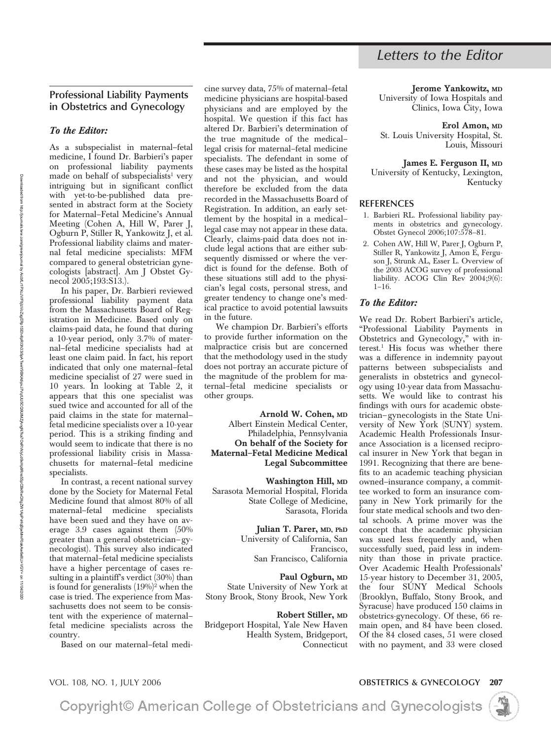# **Professional Liability Payments in Obstetrics and Gynecology**

# *To the Editor:*

As a subspecialist in maternal–fetal medicine, I found Dr. Barbieri's paper on professional liability payments made on behalf of subspecialists<sup>1</sup> very intriguing but in significant conflict with yet-to-be-published data presented in abstract form at the Society for Maternal–Fetal Medicine's Annual Meeting (Cohen A, Hill W, Parer J, Ogburn P, Stiller R, Yankowitz J, et al. Professional liability claims and maternal fetal medicine specialists: MFM compared to general obstetrician gynecologists [abstract]. Am J Obstet Gynecol 2005;193:S13.).

In his paper, Dr. Barbieri reviewed professional liability payment data from the Massachusetts Board of Registration in Medicine. Based only on claims-paid data, he found that during a 10-year period, only 3.7% of maternal–fetal medicine specialists had at least one claim paid. In fact, his report indicated that only one maternal–fetal medicine specialist of 27 were sued in 10 years. In looking at Table 2, it appears that this one specialist was sued twice and accounted for all of the paid claims in the state for maternal– fetal medicine specialists over a 10-year period. This is a striking finding and would seem to indicate that there is no professional liability crisis in Massachusetts for maternal–fetal medicine specialists.

In contrast, a recent national survey done by the Society for Maternal Fetal Medicine found that almost 80% of all maternal–fetal medicine specialists have been sued and they have on average 3.9 cases against them (50% greater than a general obstetrician– gynecologist). This survey also indicated that maternal–fetal medicine specialists have a higher percentage of cases resulting in a plaintiff's verdict (30%) than is found for generalists  $(19\%)^2$  when the case is tried. The experience from Massachusetts does not seem to be consistent with the experience of maternal– fetal medicine specialists across the country.

Based on our maternal–fetal medi-

cine survey data, 75% of maternal–fetal medicine physicians are hospital-based physicians and are employed by the hospital. We question if this fact has altered Dr. Barbieri's determination of the true magnitude of the medical– legal crisis for maternal–fetal medicine specialists. The defendant in some of these cases may be listed as the hospital and not the physician, and would therefore be excluded from the data recorded in the Massachusetts Board of Registration. In addition, an early settlement by the hospital in a medical– legal case may not appear in these data. Clearly, claims-paid data does not include legal actions that are either subsequently dismissed or where the verdict is found for the defense. Both of these situations still add to the physician's legal costs, personal stress, and greater tendency to change one's medical practice to avoid potential lawsuits in the future.

We champion Dr. Barbieri's efforts to provide further information on the malpractice crisis but are concerned that the methodology used in the study does not portray an accurate picture of the magnitude of the problem for maternal–fetal medicine specialists or other groups.

**Arnold W. Cohen, MD** Albert Einstein Medical Center, Philadelphia, Pennsylvania **On behalf of the Society for Maternal–Fetal Medicine Medical Legal Subcommittee**

**Washington Hill, MD** Sarasota Memorial Hospital, Florida State College of Medicine, Sarasota, Florida

> **Julian T. Parer, MD, PhD** University of California, San Francisco, San Francisco, California

**Paul Ogburn, MD** State University of New York at Stony Brook, Stony Brook, New York

**Robert Stiller, MD** Bridgeport Hospital, Yale New Haven Health System, Bridgeport, Connecticut

**Jerome Yankowitz, MD** University of Iowa Hospitals and Clinics, Iowa City, Iowa

**Erol Amon, MD** St. Louis University Hospital, St.

Louis, Missouri

**James E. Ferguson II, MD**

University of Kentucky, Lexington, Kentucky

# **REFERENCES**

- 1. Barbieri RL. Professional liability payments in obstetrics and gynecology. Obstet Gynecol 2006;107:578–81.
- 2. Cohen AW, Hill W, Parer J, Ogburn P, Stiller R, Yankowitz J, Amon E, Ferguson J, Strunk AL, Esser L. Overview of the 2003 ACOG survey of professional liability. ACOG Clin Rev 2004;9(6): 1–16.

# *To the Editor:*

We read Dr. Robert Barbieri's article, "Professional Liability Payments in Obstetrics and Gynecology," with interest.1 His focus was whether there was a difference in indemnity payout patterns between subspecialists and generalists in obstetrics and gynecology using 10-year data from Massachusetts. We would like to contrast his findings with ours for academic obstetrician– gynecologists in the State University of New York (SUNY) system. Academic Health Professionals Insurance Association is a licensed reciprocal insurer in New York that began in 1991. Recognizing that there are benefits to an academic teaching physician owned–insurance company, a committee worked to form an insurance company in New York primarily for the four state medical schools and two dental schools. A prime mover was the concept that the academic physician was sued less frequently and, when successfully sued, paid less in indemnity than those in private practice. Over Academic Health Professionals' 15-year history to December 31, 2005, the four SUNY Medical Schools (Brooklyn, Buffalo, Stony Brook, and Syracuse) have produced 150 claims in obstetrics-gynecology. Of these, 66 remain open, and 84 have been closed. Of the 84 closed cases, 51 were closed with no payment, and 33 were closed

VOL. 108, NO. 1, JULY 2006 **OBSTETRICS & GYNECOLOGY 207**

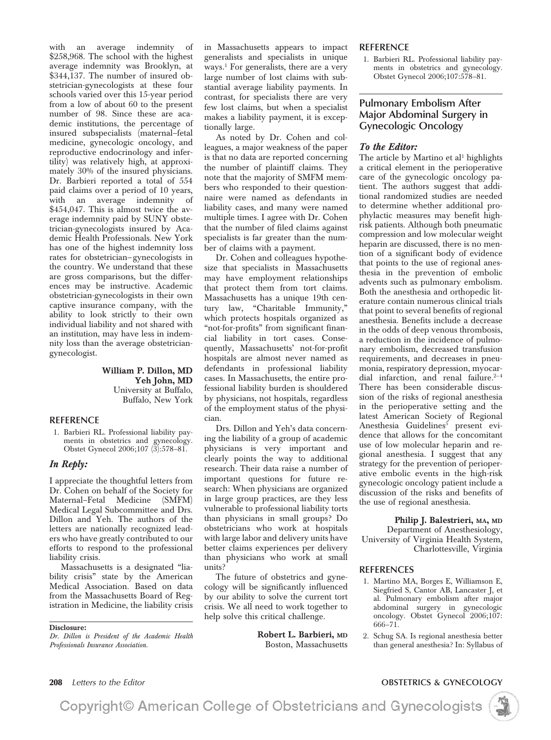with an average indemnity of \$258,968. The school with the highest average indemnity was Brooklyn, at \$344,137. The number of insured obstetrician-gynecologists at these four schools varied over this 15-year period from a low of about 60 to the present number of 98. Since these are academic institutions, the percentage of insured subspecialists (maternal–fetal medicine, gynecologic oncology, and reproductive endocrinology and infertility) was relatively high, at approximately 30% of the insured physicians. Dr. Barbieri reported a total of 554 paid claims over a period of 10 years, with an average indemnity of \$454,047. This is almost twice the average indemnity paid by SUNY obstetrician-gynecologists insured by Academic Health Professionals. New York has one of the highest indemnity loss rates for obstetrician– gynecologists in the country. We understand that these are gross comparisons, but the differences may be instructive. Academic obstetrician-gynecologists in their own captive insurance company, with the ability to look strictly to their own individual liability and not shared with an institution, may have less in indemnity loss than the average obstetriciangynecologist.

> **William P. Dillon, MD Yeh John, MD** University at Buffalo, Buffalo, New York

# **REFERENCE**

1. Barbieri RL. Professional liability payments in obstetrics and gynecology. Obstet Gynecol 2006;107 (3):578–81.

# *In Reply:*

I appreciate the thoughtful letters from Dr. Cohen on behalf of the Society for Maternal–Fetal Medicine (SMFM) Medical Legal Subcommittee and Drs. Dillon and Yeh. The authors of the letters are nationally recognized leaders who have greatly contributed to our efforts to respond to the professional liability crisis.

Massachusetts is a designated "liability crisis" state by the American Medical Association. Based on data from the Massachusetts Board of Registration in Medicine, the liability crisis

#### **Disclosure:**

*Dr. Dillon is President of the Academic Health Professionals Insurance Association.*

in Massachusetts appears to impact generalists and specialists in unique ways.1 For generalists, there are a very large number of lost claims with substantial average liability payments. In contrast, for specialists there are very few lost claims, but when a specialist makes a liability payment, it is exceptionally large.

As noted by Dr. Cohen and colleagues, a major weakness of the paper is that no data are reported concerning the number of plaintiff claims. They note that the majority of SMFM members who responded to their questionnaire were named as defendants in liability cases, and many were named multiple times. I agree with Dr. Cohen that the number of filed claims against specialists is far greater than the number of claims with a payment.

Dr. Cohen and colleagues hypothesize that specialists in Massachusetts may have employment relationships that protect them from tort claims. Massachusetts has a unique 19th century law, "Charitable Immunity," which protects hospitals organized as "not-for-profits" from significant financial liability in tort cases. Consequently, Massachusetts' not-for-profit hospitals are almost never named as defendants in professional liability cases. In Massachusetts, the entire professional liability burden is shouldered by physicians, not hospitals, regardless of the employment status of the physician.

Drs. Dillon and Yeh's data concerning the liability of a group of academic physicians is very important and clearly points the way to additional research. Their data raise a number of important questions for future research: When physicians are organized in large group practices, are they less vulnerable to professional liability torts than physicians in small groups? Do obstetricians who work at hospitals with large labor and delivery units have better claims experiences per delivery than physicians who work at small units?

The future of obstetrics and gynecology will be significantly influenced by our ability to solve the current tort crisis. We all need to work together to help solve this critical challenge.

> **Robert L. Barbieri, MD** Boston, Massachusetts

#### **REFERENCE**

1. Barbieri RL. Professional liability payments in obstetrics and gynecology. Obstet Gynecol 2006;107:578–81.

# **Pulmonary Embolism After Major Abdominal Surgery in Gynecologic Oncology**

#### *To the Editor:*

The article by Martino et al<sup>1</sup> highlights a critical element in the perioperative care of the gynecologic oncology patient. The authors suggest that additional randomized studies are needed to determine whether additional prophylactic measures may benefit highrisk patients. Although both pneumatic compression and low molecular weight heparin are discussed, there is no mention of a significant body of evidence that points to the use of regional anesthesia in the prevention of embolic advents such as pulmonary embolism. Both the anesthesia and orthopedic literature contain numerous clinical trials that point to several benefits of regional anesthesia. Benefits include a decrease in the odds of deep venous thrombosis, a reduction in the incidence of pulmonary embolism, decreased transfusion requirements, and decreases in pneumonia, respiratory depression, myocardial infarction, and renal failure. $2-4$ There has been considerable discussion of the risks of regional anesthesia in the perioperative setting and the latest American Society of Regional Anesthesia Guidelines<sup>5</sup> present evidence that allows for the concomitant use of low molecular heparin and regional anesthesia. I suggest that any strategy for the prevention of perioperative embolic events in the high-risk gynecologic oncology patient include a discussion of the risks and benefits of the use of regional anesthesia.

**Philip J. Balestrieri, MA, MD** Department of Anesthesiology, University of Virginia Health System, Charlottesville, Virginia

# **REFERENCES**

- 1. Martino MA, Borges E, Williamson E, Siegfried S, Cantor AB, Lancaster J, et al. Pulmonary embolism after major abdominal surgery in gynecologic oncology. Obstet Gynecol 2006;107: 666–71.
- 2. Schug SA. Is regional anesthesia better than general anesthesia? In: Syllabus of

# **208** *Letters to the Editor* **OBSTETRICS & GYNECOLOGY**

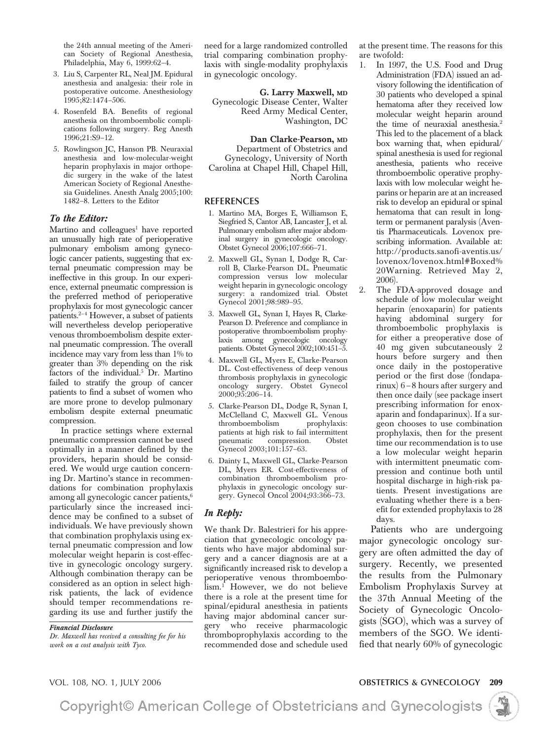the 24th annual meeting of the American Society of Regional Anesthesia, Philadelphia, May 6, 1999:62–4.

- 3. Liu S, Carpenter RL, Neal JM. Epidural anesthesia and analgesia: their role in postoperative outcome. Anesthesiology 1995;82:1474–506.
- 4. Rosenfeld BA. Benefits of regional anesthesia on thromboembolic complications following surgery. Reg Anesth 1996;21:S9–12.
- 5. Rowlingson JC, Hanson PB. Neuraxial anesthesia and low-molecular-weight heparin prophylaxis in major orthopedic surgery in the wake of the latest American Society of Regional Anesthesia Guidelines. Anesth Analg 2005;100: 1482–8. Letters to the Editor

# *To the Editor:*

Martino and colleagues<sup>1</sup> have reported an unusually high rate of perioperative pulmonary embolism among gynecologic cancer patients, suggesting that external pneumatic compression may be ineffective in this group. In our experience, external pneumatic compression is the preferred method of perioperative prophylaxis for most gynecologic cancer patients.2–4 However, a subset of patients will nevertheless develop perioperative venous thromboembolism despite external pneumatic compression. The overall incidence may vary from less than 1% to greater than 3% depending on the risk factors of the individual.<sup>5</sup> Dr. Martino failed to stratify the group of cancer patients to find a subset of women who are more prone to develop pulmonary embolism despite external pneumatic compression.

In practice settings where external pneumatic compression cannot be used optimally in a manner defined by the providers, heparin should be considered. We would urge caution concerning Dr. Martino's stance in recommendations for combination prophylaxis among all gynecologic cancer patients,<sup>6</sup> particularly since the increased incidence may be confined to a subset of individuals. We have previously shown that combination prophylaxis using external pneumatic compression and low molecular weight heparin is cost-effective in gynecologic oncology surgery. Although combination therapy can be considered as an option in select highrisk patients, the lack of evidence should temper recommendations regarding its use and further justify the

*Dr. Maxwell has received a consulting fee for his work on a cost analysis with Tyco.*

need for a large randomized controlled trial comparing combination prophylaxis with single-modality prophylaxis in gynecologic oncology.

**G. Larry Maxwell, MD** Gynecologic Disease Center, Walter Reed Army Medical Center, Washington, DC

**Dan Clarke-Pearson, MD**

Department of Obstetrics and Gynecology, University of North Carolina at Chapel Hill, Chapel Hill, North Carolina

# **REFERENCES**

- 1. Martino MA, Borges E, Williamson E, Siegfried S, Cantor AB, Lancaster J, et al. Pulmonary embolism after major abdominal surgery in gynecologic oncology. Obstet Gynecol 2006;107:666–71.
- 2. Maxwell GL, Synan I, Dodge R, Carroll B, Clarke-Pearson DL. Pneumatic compression versus low molecular weight heparin in gynecologic oncology surgery: a randomized trial. Obstet Gynecol 2001;98:989–95.
- 3. Maxwell GL, Synan I, Hayes R, Clarke-Pearson D. Preference and compliance in postoperative thromboembolism prophylaxis among gynecologic oncology patients. Obstet Gynecol 2002;100:451–5.
- 4. Maxwell GL, Myers E, Clarke-Pearson DL. Cost-effectiveness of deep venous thrombosis prophylaxis in gynecologic oncology surgery. Obstet Gynecol 2000;95:206–14.
- 5. Clarke-Pearson DL, Dodge R, Synan I, McClelland C, Maxwell GL. Venous<br>thromboembolism prophylaxis: thromboembolism patients at high risk to fail intermittent<br>pneumatic compression. Obstet compression. Gynecol 2003;101:157–63.
- 6. Dainty L, Maxwell GL, Clarke-Pearson DL, Myers ER. Cost-effectiveness of combination thromboembolism prophylaxis in gynecologic oncology surgery. Gynecol Oncol 2004;93:366–73.

# *In Reply:*

We thank Dr. Balestrieri for his appreciation that gynecologic oncology patients who have major abdominal surgery and a cancer diagnosis are at a significantly increased risk to develop a perioperative venous thromboembolism.<sup>1</sup> However, we do not believe there is a role at the present time for spinal/epidural anesthesia in patients having major abdominal cancer surgery who receive pharmacologic thromboprophylaxis according to the recommended dose and schedule used at the present time. The reasons for this are twofold:

- 1. In 1997, the U.S. Food and Drug Administration (FDA) issued an advisory following the identification of 30 patients who developed a spinal hematoma after they received low molecular weight heparin around the time of neuraxial anesthesia.<sup>2</sup> This led to the placement of a black box warning that, when epidural/ spinal anesthesia is used for regional anesthesia, patients who receive thromboembolic operative prophylaxis with low molecular weight heparins or heparin are at an increased risk to develop an epidural or spinal hematoma that can result in longterm or permanent paralysis (Aventis Pharmaceuticals. Lovenox prescribing information. Available at: http://products.sanofi-aventis.us/ lovenox/lovenox.html#Boxed% 20Warning. Retrieved May 2, 2006)
- 2. The FDA-approved dosage and schedule of low molecular weight heparin (enoxaparin) for patients having abdominal surgery for thromboembolic prophylaxis is for either a preoperative dose of 40 mg given subcutaneously 2 hours before surgery and then once daily in the postoperative period or the first dose (fondaparinux) 6 – 8 hours after surgery and then once daily (see package insert prescribing information for enoxaparin and fondaparinux). If a surgeon chooses to use combination prophylaxis, then for the present time our recommendation is to use a low molecular weight heparin with intermittent pneumatic compression and continue both until hospital discharge in high-risk patients. Present investigations are evaluating whether there is a benefit for extended prophylaxis to 28 days.

Patients who are undergoing major gynecologic oncology surgery are often admitted the day of surgery. Recently, we presented the results from the Pulmonary Embolism Prophylaxis Survey at the 37th Annual Meeting of the Society of Gynecologic Oncologists (SGO), which was a survey of members of the SGO. We identified that nearly 60% of gynecologic

# VOL. 108, NO. 1, JULY 2006 **OBSTETRICS & GYNECOLOGY 209**



*Financial Disclosure*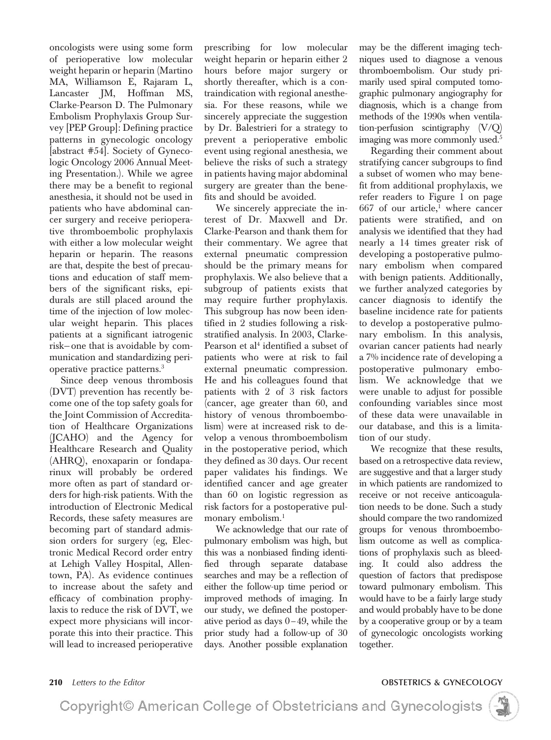oncologists were using some form of perioperative low molecular weight heparin or heparin (Martino MA, Williamson E, Rajaram L, Lancaster JM, Hoffman MS, Clarke-Pearson D. The Pulmonary Embolism Prophylaxis Group Survey [PEP Group]: Defining practice patterns in gynecologic oncology [abstract #54]. Society of Gynecologic Oncology 2006 Annual Meeting Presentation.). While we agree there may be a benefit to regional anesthesia, it should not be used in patients who have abdominal cancer surgery and receive perioperative thromboembolic prophylaxis with either a low molecular weight heparin or heparin. The reasons are that, despite the best of precautions and education of staff members of the significant risks, epidurals are still placed around the time of the injection of low molecular weight heparin. This places patients at a significant iatrogenic risk— one that is avoidable by communication and standardizing perioperative practice patterns.3

Since deep venous thrombosis (DVT) prevention has recently become one of the top safety goals for the Joint Commission of Accreditation of Healthcare Organizations (JCAHO) and the Agency for Healthcare Research and Quality (AHRQ), enoxaparin or fondaparinux will probably be ordered more often as part of standard orders for high-risk patients. With the introduction of Electronic Medical Records, these safety measures are becoming part of standard admission orders for surgery (eg, Electronic Medical Record order entry at Lehigh Valley Hospital, Allentown, PA). As evidence continues to increase about the safety and efficacy of combination prophylaxis to reduce the risk of DVT, we expect more physicians will incorporate this into their practice. This will lead to increased perioperative

prescribing for low molecular weight heparin or heparin either 2 hours before major surgery or shortly thereafter, which is a contraindication with regional anesthesia. For these reasons, while we sincerely appreciate the suggestion by Dr. Balestrieri for a strategy to prevent a perioperative embolic event using regional anesthesia, we believe the risks of such a strategy in patients having major abdominal surgery are greater than the benefits and should be avoided.

We sincerely appreciate the interest of Dr. Maxwell and Dr. Clarke-Pearson and thank them for their commentary. We agree that external pneumatic compression should be the primary means for prophylaxis. We also believe that a subgroup of patients exists that may require further prophylaxis. This subgroup has now been identified in 2 studies following a riskstratified analysis. In 2003, Clarke-Pearson et al<sup>4</sup> identified a subset of patients who were at risk to fail external pneumatic compression. He and his colleagues found that patients with 2 of 3 risk factors (cancer, age greater than 60, and history of venous thromboembolism) were at increased risk to develop a venous thromboembolism in the postoperative period, which they defined as 30 days. Our recent paper validates his findings. We identified cancer and age greater than 60 on logistic regression as risk factors for a postoperative pulmonary embolism.<sup>1</sup>

We acknowledge that our rate of pulmonary embolism was high, but this was a nonbiased finding identified through separate database searches and may be a reflection of either the follow-up time period or improved methods of imaging. In our study, we defined the postoperative period as days 0–49, while the prior study had a follow-up of 30 days. Another possible explanation may be the different imaging techniques used to diagnose a venous thromboembolism. Our study primarily used spiral computed tomographic pulmonary angiography for diagnosis, which is a change from methods of the 1990s when ventilation-perfusion scintigraphy (V/Q) imaging was more commonly used.<sup>5</sup>

Regarding their comment about stratifying cancer subgroups to find a subset of women who may benefit from additional prophylaxis, we refer readers to Figure 1 on page  $667$  of our article,<sup>1</sup> where cancer patients were stratified, and on analysis we identified that they had nearly a 14 times greater risk of developing a postoperative pulmonary embolism when compared with benign patients. Additionally, we further analyzed categories by cancer diagnosis to identify the baseline incidence rate for patients to develop a postoperative pulmonary embolism. In this analysis, ovarian cancer patients had nearly a 7% incidence rate of developing a postoperative pulmonary embolism. We acknowledge that we were unable to adjust for possible confounding variables since most of these data were unavailable in our database, and this is a limitation of our study.

We recognize that these results, based on a retrospective data review, are suggestive and that a larger study in which patients are randomized to receive or not receive anticoagulation needs to be done. Such a study should compare the two randomized groups for venous thromboembolism outcome as well as complications of prophylaxis such as bleeding. It could also address the question of factors that predispose toward pulmonary embolism. This would have to be a fairly large study and would probably have to be done by a cooperative group or by a team of gynecologic oncologists working together.

# **210** *Letters to the Editor* **OBSTETRICS & GYNECOLOGY**

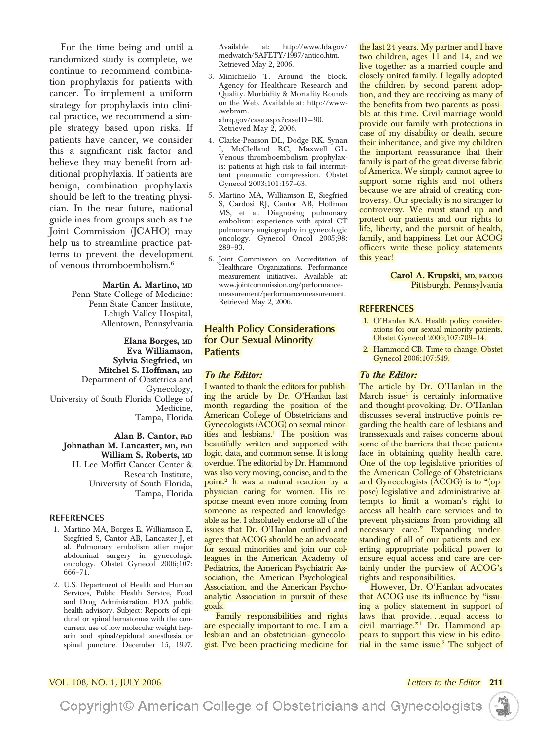For the time being and until a randomized study is complete, we continue to recommend combination prophylaxis for patients with cancer. To implement a uniform strategy for prophylaxis into clinical practice, we recommend a simple strategy based upon risks. If patients have cancer, we consider this a significant risk factor and believe they may benefit from additional prophylaxis. If patients are benign, combination prophylaxis should be left to the treating physician. In the near future, national guidelines from groups such as the Joint Commission (JCAHO) may help us to streamline practice patterns to prevent the development of venous thromboembolism.6

#### **Martin A. Martino, MD**

Penn State College of Medicine: Penn State Cancer Institute, Lehigh Valley Hospital, Allentown, Pennsylvania

**Elana Borges, MD Eva Williamson, Sylvia Siegfried, MD Mitchel S. Hoffman, MD** Department of Obstetrics and Gynecology, University of South Florida College of Medicine, Tampa, Florida

**Alan B. Cantor, PhD Johnathan M. Lancaster, MD, PhD William S. Roberts, MD** H. Lee Moffitt Cancer Center & Research Institute, University of South Florida, Tampa, Florida

# **REFERENCES**

- 1. Martino MA, Borges E, Williamson E, Siegfried S, Cantor AB, Lancaster J, et al. Pulmonary embolism after major abdominal surgery in gynecologic oncology. Obstet Gynecol 2006;107: 666–71.
- 2. U.S. Department of Health and Human Services, Public Health Service, Food and Drug Administration. FDA public health advisory. Subject: Reports of epidural or spinal hematomas with the concurrent use of low molecular weight heparin and spinal/epidural anesthesia or spinal puncture. December 15, 1997.

Available at: http://www.fda.gov/ medwatch/SAFETY/1997/antico.htm. Retrieved May 2, 2006.

- 3. Minichiello T. Around the block. Agency for Healthcare Research and Quality. Morbidity & Mortality Rounds on the Web. Available at: http://www- .webmm. ahrq.gov/case.aspx?caseID=90. Retrieved May 2, 2006.
- 4. Clarke-Pearson DL, Dodge RK, Synan I, McClelland RC, Maxwell GL. Venous thromboembolism prophylaxis: patients at high risk to fail intermittent pneumatic compression. Obstet Gynecol 2003;101:157–63.
- 5. Martino MA, Williamson E, Siegfried S, Cardosi RJ, Cantor AB, Hoffman MS, et al. Diagnosing pulmonary embolism: experience with spiral CT pulmonary angiography in gynecologic oncology. Gynecol Oncol 2005;98: 289–93.
- 6. Joint Commission on Accreditation of Healthcare Organizations. Performance measurement initiatives. Available at: www.jointcommission.org/performancemeasurement/performancemeasurement. Retrieved May 2, 2006.

# **Health Policy Considerations for Our Sexual Minority Patients**

# *To the Editor:*

I wanted to thank the editors for publishing the article by Dr. O'Hanlan last month regarding the position of the American College of Obstetricians and Gynecologists (ACOG) on sexual minorities and lesbians.<sup>1</sup> The position was beautifully written and supported with logic, data, and common sense. It is long overdue. The editorial by Dr. Hammond was also very moving, concise, and to the point.2 It was a natural reaction by a physician caring for women. His response meant even more coming from someone as respected and knowledgeable as he. I absolutely endorse all of the issues that Dr. O'Hanlan outlined and agree that ACOG should be an advocate for sexual minorities and join our colleagues in the American Academy of Pediatrics, the American Psychiatric Association, the American Psychological Association, and the American Psychoanalytic Association in pursuit of these goals.

Family responsibilities and rights are especially important to me. I am a lesbian and an obstetrician– gynecologist. I've been practicing medicine for the last 24 years. My partner and I have two children, ages 11 and 14, and we live together as a married couple and closely united family. I legally adopted the children by second parent adoption, and they are receiving as many of the benefits from two parents as possible at this time. Civil marriage would provide our family with protections in case of my disability or death, secure their inheritance, and give my children the important reassurance that their family is part of the great diverse fabric of America. We simply cannot agree to support some rights and not others because we are afraid of creating controversy. Our specialty is no stranger to controversy. We must stand up and protect our patients and our rights to life, liberty, and the pursuit of health, family, and happiness. Let our ACOG officers write these policy statements this year!

> **Carol A. Krupski, MD, FACOG** Pittsburgh, Pennsylvania

#### **REFERENCES**

- 1. O'Hanlan KA. Health policy considerations for our sexual minority patients. Obstet Gynecol 2006;107:709–14.
- 2. Hammond CB. Time to change. Obstet Gynecol 2006;107:549.

#### *To the Editor:*

The article by Dr. O'Hanlan in the March issue<sup>1</sup> is certainly informative and thought-provoking. Dr. O'Hanlan discusses several instructive points regarding the health care of lesbians and transsexuals and raises concerns about some of the barriers that these patients face in obtaining quality health care. One of the top legislative priorities of the American College of Obstetricians and Gynecologists (ACOG) is to "(oppose) legislative and administrative attempts to limit a woman's right to access all health care services and to prevent physicians from providing all necessary care." Expanding understanding of all of our patients and exerting appropriate political power to ensure equal access and care are certainly under the purview of ACOG's rights and responsibilities.

However, Dr. O'Hanlan advocates that ACOG use its influence by "issuing a policy statement in support of laws that provide. . .equal access to civil marriage."1 Dr. Hammond appears to support this view in his editorial in the same issue.<sup>2</sup> The subject of

#### VOL. 108, NO. 1, JULY 2006 *Letters to the Editor* **211**

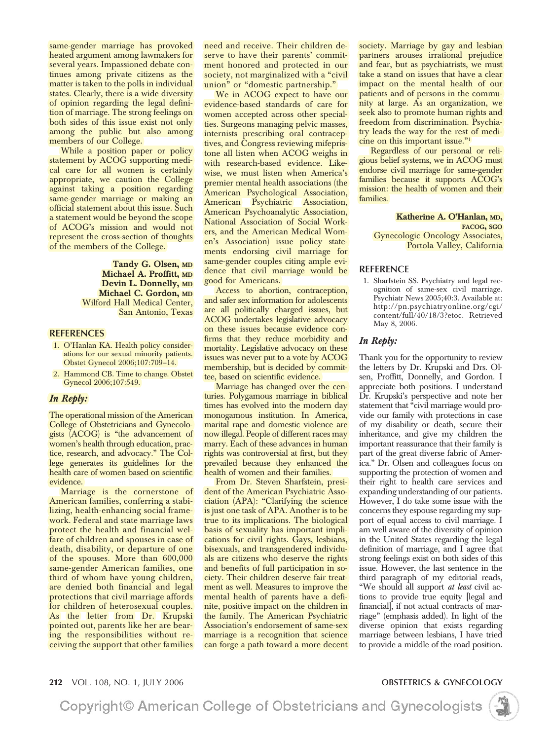same-gender marriage has provoked heated argument among lawmakers for several years. Impassioned debate continues among private citizens as the matter is taken to the polls in individual states. Clearly, there is a wide diversity of opinion regarding the legal definition of marriage. The strong feelings on both sides of this issue exist not only among the public but also among members of our College.

While a position paper or policy statement by ACOG supporting medical care for all women is certainly appropriate, we caution the College against taking a position regarding same-gender marriage or making an official statement about this issue. Such a statement would be beyond the scope of ACOG's mission and would not represent the cross-section of thoughts of the members of the College.

> **Tandy G. Olsen, MD Michael A. Proffitt, MD Devin L. Donnelly, MD Michael C. Gordon, MD** Wilford Hall Medical Center, San Antonio, Texas

# **REFERENCES**

- 1. O'Hanlan KA. Health policy considerations for our sexual minority patients. Obstet Gynecol 2006;107:709–14.
- 2. Hammond CB. Time to change. Obstet Gynecol 2006;107:549.

#### *In Reply:*

The operational mission of the American College of Obstetricians and Gynecologists (ACOG) is "the advancement of women's health through education, practice, research, and advocacy." The College generates its guidelines for the health care of women based on scientific evidence.

Marriage is the cornerstone of American families, conferring a stabilizing, health-enhancing social framework. Federal and state marriage laws protect the health and financial welfare of children and spouses in case of death, disability, or departure of one of the spouses. More than 600,000 same-gender American families, one third of whom have young children, are denied both financial and legal protections that civil marriage affords for children of heterosexual couples. As the letter from Dr. Krupski pointed out, parents like her are bearing the responsibilities without receiving the support that other families need and receive. Their children deserve to have their parents' commitment honored and protected in our society, not marginalized with a "civil union" or "domestic partnership."

We in ACOG expect to have our evidence-based standards of care for women accepted across other specialties. Surgeons managing pelvic masses, internists prescribing oral contraceptives, and Congress reviewing mifepristone all listen when ACOG weighs in with research-based evidence. Likewise, we must listen when America's premier mental health associations (the American Psychological Association, American Psychiatric Association, American Psychoanalytic Association, National Association of Social Workers, and the American Medical Women's Association) issue policy statements endorsing civil marriage for same-gender couples citing ample evidence that civil marriage would be good for Americans.

Access to abortion, contraception, and safer sex information for adolescents are all politically charged issues, but ACOG undertakes legislative advocacy on these issues because evidence confirms that they reduce morbidity and mortality. Legislative advocacy on these issues was never put to a vote by ACOG membership, but is decided by committee, based on scientific evidence.

Marriage has changed over the centuries. Polygamous marriage in biblical times has evolved into the modern day monogamous institution. In America, marital rape and domestic violence are now illegal. People of different races may marry. Each of these advances in human rights was controversial at first, but they prevailed because they enhanced the health of women and their families.

From Dr. Steven Sharfstein, president of the American Psychiatric Association (APA): "Clarifying the science is just one task of APA. Another is to be true to its implications. The biological basis of sexuality has important implications for civil rights. Gays, lesbians, bisexuals, and transgendered individuals are citizens who deserve the rights and benefits of full participation in society. Their children deserve fair treatment as well. Measures to improve the mental health of parents have a definite, positive impact on the children in the family. The American Psychiatric Association's endorsement of same-sex marriage is a recognition that science can forge a path toward a more decent society. Marriage by gay and lesbian partners arouses irrational prejudice and fear, but as psychiatrists, we must take a stand on issues that have a clear impact on the mental health of our patients and of persons in the community at large. As an organization, we seek also to promote human rights and freedom from discrimination. Psychiatry leads the way for the rest of medicine on this important issue."1

Regardless of our personal or religious belief systems, we in ACOG must endorse civil marriage for same-gender families because it supports ACOG's mission: the health of women and their families.

> **Katherine A. O'Hanlan, MD, FACOG, SGO** Gynecologic Oncology Associates, Portola Valley, California

# **REFERENCE**

1. Sharfstein SS. Psychiatry and legal recognition of same-sex civil marriage. Psychiatr News 2005;40:3. Available at: http://pn.psychiatryonline.org/cgi/ content/full/40/18/3?etoc. Retrieved May 8, 2006.

#### *In Reply:*

Thank you for the opportunity to review the letters by Dr. Krupski and Drs. Olsen, Proffitt, Donnelly, and Gordon. I appreciate both positions. I understand Dr. Krupski's perspective and note her statement that "civil marriage would provide our family with protections in case of my disability or death, secure their inheritance, and give my children the important reassurance that their family is part of the great diverse fabric of America." Dr. Olsen and colleagues focus on supporting the protection of women and their right to health care services and expanding understanding of our patients. However, I do take some issue with the concerns they espouse regarding my support of equal access to civil marriage. I am well aware of the diversity of opinion in the United States regarding the legal definition of marriage, and I agree that strong feelings exist on both sides of this issue. However, the last sentence in the third paragraph of my editorial reads, "We should all support *at least* civil actions to provide true equity [legal and financial], if not actual contracts of marriage" (emphasis added). In light of the diverse opinion that exists regarding marriage between lesbians, I have tried to provide a middle of the road position.

# **212** VOL. 108, NO. 1, JULY 2006 **OBSTETRICS & GYNECOLOGY**

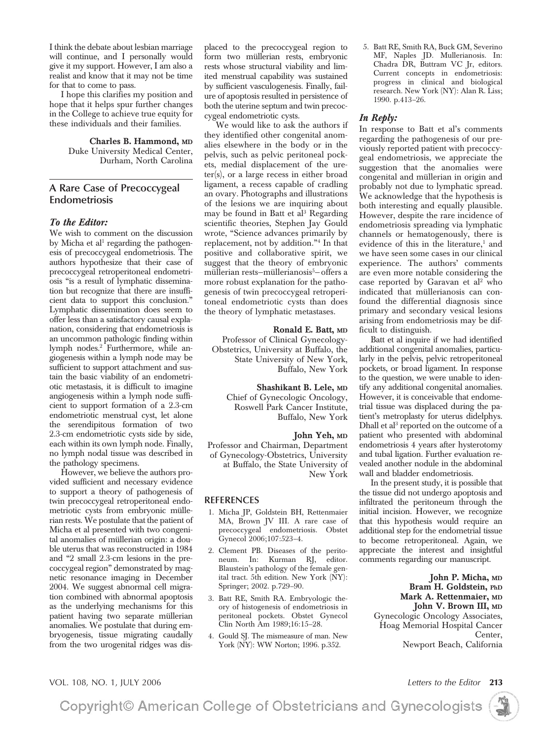I think the debate about lesbian marriage will continue, and I personally would give it my support. However, I am also a realist and know that it may not be time for that to come to pass.

I hope this clarifies my position and hope that it helps spur further changes in the College to achieve true equity for these individuals and their families.

> **Charles B. Hammond, MD** Duke University Medical Center, Durham, North Carolina

# **A Rare Case of Precoccygeal Endometriosis**

# *To the Editor:*

We wish to comment on the discussion by Micha et al<sup>1</sup> regarding the pathogenesis of precoccygeal endometriosis. The authors hypothesize that their case of precoccygeal retroperitoneal endometriosis "is a result of lymphatic dissemination but recognize that there are insufficient data to support this conclusion." Lymphatic dissemination does seem to offer less than a satisfactory causal explanation, considering that endometriosis is an uncommon pathologic finding within lymph nodes.<sup>2</sup> Furthermore, while angiogenesis within a lymph node may be sufficient to support attachment and sustain the basic viability of an endometriotic metastasis, it is difficult to imagine angiogenesis within a lymph node sufficient to support formation of a 2.3-cm endometriotic menstrual cyst, let alone the serendipitous formation of two 2.3-cm endometriotic cysts side by side, each within its own lymph node. Finally, no lymph nodal tissue was described in the pathology specimens.

However, we believe the authors provided sufficient and necessary evidence to support a theory of pathogenesis of twin precoccygeal retroperitoneal endometriotic cysts from embryonic müllerian rests. We postulate that the patient of Micha et al presented with two congenital anomalies of müllerian origin: a double uterus that was reconstructed in 1984 and "2 small 2.3-cm lesions in the precoccygeal region" demonstrated by magnetic resonance imaging in December 2004. We suggest abnormal cell migration combined with abnormal apoptosis as the underlying mechanisms for this patient having two separate müllerian anomalies. We postulate that during embryogenesis, tissue migrating caudally from the two urogenital ridges was displaced to the precoccygeal region to form two müllerian rests, embryonic rests whose structural viability and limited menstrual capability was sustained by sufficient vasculogenesis. Finally, failure of apoptosis resulted in persistence of both the uterine septum and twin precoccygeal endometriotic cysts.

We would like to ask the authors if they identified other congenital anomalies elsewhere in the body or in the pelvis, such as pelvic peritoneal pockets, medial displacement of the ureter(s), or a large recess in either broad ligament, a recess capable of cradling an ovary. Photographs and illustrations of the lesions we are inquiring about may be found in Batt et al<sup>3</sup> Regarding scientific theories, Stephen Jay Gould wrote, "Science advances primarily by replacement, not by addition."4 In that positive and collaborative spirit, we suggest that the theory of embryonic müllerian rests-müllerianosis<sup>5</sup>-offers a more robust explanation for the pathogenesis of twin precoccygeal retroperitoneal endometriotic cysts than does the theory of lymphatic metastases.

#### **Ronald E. Batt, MD**

Professor of Clinical Gynecology-Obstetrics, University at Buffalo, the State University of New York, Buffalo, New York

**Shashikant B. Lele, MD**

Chief of Gynecologic Oncology, Roswell Park Cancer Institute, Buffalo, New York

**John Yeh, MD**

Professor and Chairman, Department of Gynecology-Obstetrics, University at Buffalo, the State University of New York

#### **REFERENCES**

- 1. Micha JP, Goldstein BH, Rettenmaier MA, Brown JV III. A rare case of precoccygeal endometriosis. Obstet Gynecol 2006;107:523–4.
- 2. Clement PB. Diseases of the peritoneum. In: Kurman RJ, editor. Blaustein's pathology of the female genital tract. 5th edition. New York (NY): Springer; 2002. p.729–90.
- 3. Batt RE, Smith RA. Embryologic theory of histogenesis of endometriosis in peritoneal pockets. Obstet Gynecol Clin North Am 1989;16:15–28.
- 4. Gould SJ. The mismeasure of man. New York (NY): WW Norton; 1996. p.352.

5. Batt RE, Smith RA, Buck GM, Severino MF, Naples JD. Mullerianosis. In: Chadra DR, Buttram VC Jr, editors. Current concepts in endometriosis: progress in clinical and biological research. New York (NY): Alan R. Liss; 1990. p.413–26.

# *In Reply:*

In response to Batt et al's comments regarding the pathogenesis of our previously reported patient with precoccygeal endometriosis, we appreciate the suggestion that the anomalies were congenital and müllerian in origin and probably not due to lymphatic spread. We acknowledge that the hypothesis is both interesting and equally plausible. However, despite the rare incidence of endometriosis spreading via lymphatic channels or hematogenously, there is evidence of this in the literature,<sup>1</sup> and we have seen some cases in our clinical experience. The authors' comments are even more notable considering the case reported by Garavan et al<sup>2</sup> who indicated that müllerianosis can confound the differential diagnosis since primary and secondary vesical lesions arising from endometriosis may be difficult to distinguish.

Batt et al inquire if we had identified additional congenital anomalies, particularly in the pelvis, pelvic retroperitoneal pockets, or broad ligament. In response to the question, we were unable to identify any additional congenital anomalies. However, it is conceivable that endometrial tissue was displaced during the patient's metroplasty for uterus didelphys. Dhall et al<sup>3</sup> reported on the outcome of a patient who presented with abdominal endometriosis 4 years after hysterotomy and tubal ligation. Further evaluation revealed another nodule in the abdominal wall and bladder endometriosis.

In the present study, it is possible that the tissue did not undergo apoptosis and infiltrated the peritoneum through the initial incision. However, we recognize that this hypothesis would require an additional step for the endometrial tissue to become retroperitoneal. Again, we appreciate the interest and insightful comments regarding our manuscript.

> **John P. Micha, MD Bram H. Goldstein, PhD Mark A. Rettenmaier, MD John V. Brown III, MD** Gynecologic Oncology Associates, Hoag Memorial Hospital Cancer Center, Newport Beach, California

VOL. 108, NO. 1, JULY 2006 *Letters to the Editor* **213**